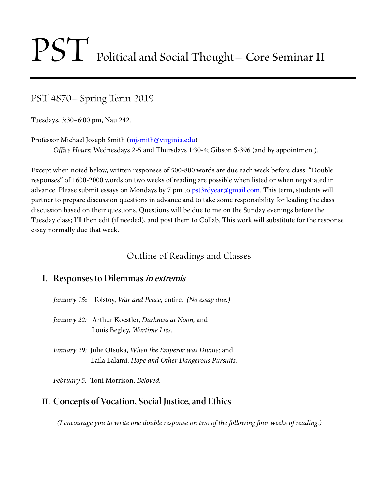# PST Political and Social Thought—Core Seminar II

PST 4870—Spring Term 2019

Tuesdays, 3:30–6:00 pm, Nau 242.

Professor Michael Joseph Smith (mismith@virginia.edu)

*Office Hours:* Wednesdays 2-5 and Thursdays 1:30-4; Gibson S-396 (and by appointment).

Except when noted below, written responses of 500-800 words are due each week before class. "Double responses" of 1600-2000 words on two weeks of reading are possible when listed or when negotiated in advance. Please submit essays on Mondays by 7 pm to **pst3rdyear@gmail.com**. This term, students will partner to prepare discussion questions in advance and to take some responsibility for leading the class discussion based on their questions. Questions will be due to me on the Sunday evenings before the Tuesday class; I'll then edit (if needed), and post them to Collab. This work will substitute for the response essay normally due that week.

# Outline of Readings and Classes

#### **I. Responses to Dilemmas in extremis**

- *January 15***:** Tolstoy, *War and Peace,* entire. *(No essay due.)*
- *January 22:* Arthur Koestler, *Darkness at Noon,* and Louis Begley, *Wartime Lies*.
- *January 29:* Julie Otsuka, *When the Emperor was Divine;* and Laila Lalami, *Hope and Other Dangerous Pursuits.*

*February 5:* Toni Morrison, *Beloved.*

# **II. Concepts of Vocation, Social Justice, and Ethics**

*(I encourage you to write one double response on two of the following four weeks of reading.)*